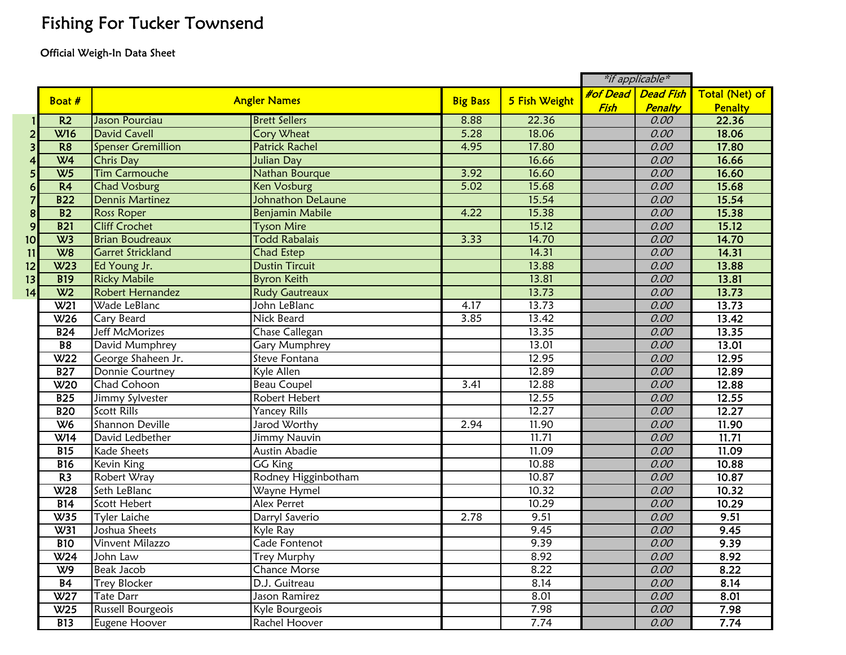## Fishing For Tucker Townsend

## Official Weigh-In Data Sheet

|                         |                 |                           |                          |                 |               | *if applicable* |                    |                       |
|-------------------------|-----------------|---------------------------|--------------------------|-----------------|---------------|-----------------|--------------------|-----------------------|
|                         | Boat #          | <b>Angler Names</b>       |                          |                 |               |                 | #of Dead Dead Fish | <b>Total (Net) of</b> |
|                         |                 |                           |                          | <b>Big Bass</b> | 5 Fish Weight | Fish            | Penalty            | <b>Penalty</b>        |
|                         | R <sub>2</sub>  | Jason Pourciau            | <b>Brett Sellers</b>     | 8.88            | 22.36         |                 | 0.00               | 22.36                 |
| $\overline{2}$          | <b>W16</b>      | <b>David Cavell</b>       | <b>Cory Wheat</b>        | 5.28            | 18.06         |                 | 0.00               | 18.06                 |
| $\overline{\mathbf{3}}$ | R <sub>8</sub>  | <b>Spenser Gremillion</b> | <b>Patrick Rachel</b>    | 4.95            | 17.80         |                 | 0.00               | 17.80                 |
| 4                       | W <sub>4</sub>  | Chris Day                 | <b>Julian Day</b>        |                 | 16.66         |                 | 0.00               | 16.66                 |
| 5 <sub>l</sub>          | W <sub>5</sub>  | <b>Tim Carmouche</b>      | Nathan Bourque           | 3.92            | 16.60         |                 | 0.00               | 16.60                 |
| $6 \overline{6}$        | R <sub>4</sub>  | <b>Chad Vosburg</b>       | <b>Ken Vosburg</b>       | 5.02            | 15.68         |                 | 0.00               | 15.68                 |
| $\overline{\mathbf{z}}$ | <b>B22</b>      | <b>Dennis Martinez</b>    | <b>Johnathon DeLaune</b> |                 | 15.54         |                 | 0.00               | 15.54                 |
| $\boldsymbol{8}$        | $\overline{B2}$ | <b>Ross Roper</b>         | <b>Benjamin Mabile</b>   | 4.22            | 15.38         |                 | 0.00               | 15.38                 |
| $\overline{9}$          | <b>B21</b>      | <b>Cliff Crochet</b>      | <b>Tyson Mire</b>        |                 | 15.12         |                 | 0.00               | 15.12                 |
| 10                      | W3              | <b>Brian Boudreaux</b>    | <b>Todd Rabalais</b>     | 3.33            | 14.70         |                 | 0.00               | 14.70                 |
| 11                      | W8              | <b>Garret Strickland</b>  | <b>Chad Estep</b>        |                 | 14.31         |                 | 0.00               | 14.31                 |
| 12                      | W <sub>23</sub> | Ed Young Jr.              | <b>Dustin Tircuit</b>    |                 | 13.88         |                 | 0.00               | 13.88                 |
| 13                      | <b>B19</b>      | <b>Ricky Mabile</b>       | <b>Byron Keith</b>       |                 | 13.81         |                 | 0.00               | 13.81                 |
| 14                      | W <sub>2</sub>  | Robert Hernandez          | <b>Rudy Gautreaux</b>    |                 | 13.73         |                 | 0.00               | 13.73                 |
|                         | W <sub>21</sub> | Wade LeBlanc              | John LeBlanc             | 4.17            | 13.73         |                 | 0.00               | 13.73                 |
|                         | W <sub>26</sub> | Cary Beard                | Nick Beard               | 3.85            | 13.42         |                 | 0.00               | 13.42                 |
|                         | B24             | <b>Jeff McMorizes</b>     | Chase Callegan           |                 | 13.35         |                 | 0.00               | 13.35                 |
|                         | <b>B8</b>       | David Mumphrey            | Gary Mumphrey            |                 | 13.01         |                 | 0.00               | 13.01                 |
|                         | W <sub>22</sub> | George Shaheen Jr.        | Steve Fontana            |                 | 12.95         |                 | 0.00               | 12.95                 |
|                         | <b>B27</b>      | Donnie Courtney           | Kyle Allen               |                 | 12.89         |                 | 0.00               | 12.89                 |
|                         | W <sub>20</sub> | Chad Cohoon               | <b>Beau Coupel</b>       | 3.41            | 12.88         |                 | 0.00               | 12.88                 |
|                         | B25             | Jimmy Sylvester           | Robert Hebert            |                 | 12.55         |                 | 0.00               | 12.55                 |
|                         | <b>B20</b>      | <b>Scott Rills</b>        | <b>Yancey Rills</b>      |                 | 12.27         |                 | 0.00               | 12.27                 |
|                         | W <sub>6</sub>  | Shannon Deville           | Jarod Worthy             | 2.94            | 11.90         |                 | 0.00               | 11.90                 |
|                         | W14             | David Ledbether           | Jimmy Nauvin             |                 | 11.71         |                 | 0.00               | 11.71                 |
|                         | <b>B15</b>      | <b>Kade Sheets</b>        | <b>Austin Abadie</b>     |                 | 11.09         |                 | 0.00               | 11.09                 |
|                         | <b>B16</b>      | Kevin King                | <b>GG King</b>           |                 | 10.88         |                 | 0.00               | 10.88                 |
|                         | R <sub>3</sub>  | Robert Wray               | Rodney Higginbotham      |                 | 10.87         |                 | 0.00               | 10.87                 |
|                         | W <sub>28</sub> | Seth LeBlanc              | Wayne Hymel              |                 | 10.32         |                 | 0.00               | 10.32                 |
|                         | B14             | Scott Hebert              | <b>Alex Perret</b>       |                 | 10.29         |                 | 0.00               | 10.29                 |
|                         | W35             | <b>Tyler Laiche</b>       | Darryl Saverio           | 2.78            | 9.51          |                 | 0.00               | 9.51                  |
|                         | W31             | Joshua Sheets             | Kyle Ray                 |                 | 9.45          |                 | 0.00               | 9.45                  |
|                         | <b>B10</b>      | <b>Vinvent Milazzo</b>    | Cade Fontenot            |                 | 9.39          |                 | 0.00               | 9.39                  |
|                         | W <sub>24</sub> | John Law                  | <b>Trey Murphy</b>       |                 | 8.92          |                 | 0.00               | 8.92                  |
|                         | W9              | <b>Beak Jacob</b>         | <b>Chance Morse</b>      |                 | 8.22          |                 | 0.00               | 8.22                  |
|                         | B4              | <b>Trey Blocker</b>       | D.J. Guitreau            |                 | 8.14          |                 | 0.00               | 8.14                  |
|                         | W27             | <b>Tate Darr</b>          | Jason Ramirez            |                 | 8.01          |                 | 0.00               | 8.01                  |
|                         | W25             | Russell Bourgeois         | Kyle Bourgeois           |                 | 7.98          |                 | 0.00               | 7.98                  |
|                         | <b>B13</b>      | Eugene Hoover             | Rachel Hoover            |                 | 7.74          |                 | 0.00               | 7.74                  |